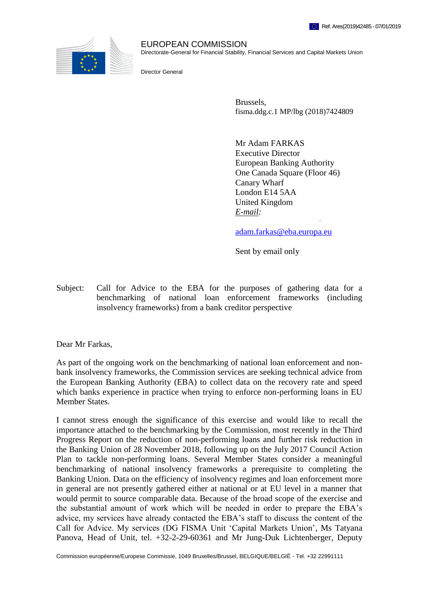

EUROPEAN COMMISSION Directorate-General for Financial Stability, Financial Services and Capital Markets Union

Director General

Brussels, fisma.ddg.c.1 MP/lbg (2018)7424809

Mr Adam FARKAS Executive Director European Banking Authority One Canada Square (Floor 46) Canary Wharf London E14 5AA United Kingdom *E-mail:* [andrea.enria@eba.europa.eu;](mailto:andrea.enria@eba.europa.eu)

adam.farkas@eba.europa.eu

Sent by email only

Subject: Call for Advice to the EBA for the purposes of gathering data for a benchmarking of national loan enforcement frameworks (including insolvency frameworks) from a bank creditor perspective

Dear Mr Farkas,

As part of the ongoing work on the benchmarking of national loan enforcement and nonbank insolvency frameworks, the Commission services are seeking technical advice from the European Banking Authority (EBA) to collect data on the recovery rate and speed which banks experience in practice when trying to enforce non-performing loans in EU Member States.

I cannot stress enough the significance of this exercise and would like to recall the importance attached to the benchmarking by the Commission, most recently in the Third Progress Report on the reduction of non-performing loans and further risk reduction in the Banking Union of 28 November 2018, following up on the July 2017 Council Action Plan to tackle non-performing loans. Several Member States consider a meaningful benchmarking of national insolvency frameworks a prerequisite to completing the Banking Union. Data on the efficiency of insolvency regimes and loan enforcement more in general are not presently gathered either at national or at EU level in a manner that would permit to source comparable data. Because of the broad scope of the exercise and the substantial amount of work which will be needed in order to prepare the EBA's advice, my services have already contacted the EBA's staff to discuss the content of the Call for Advice. My services (DG FISMA Unit 'Capital Markets Union', Ms Tatyana Panova, Head of Unit, tel. +32-2-29-60361 and Mr Jung-Duk Lichtenberger, Deputy